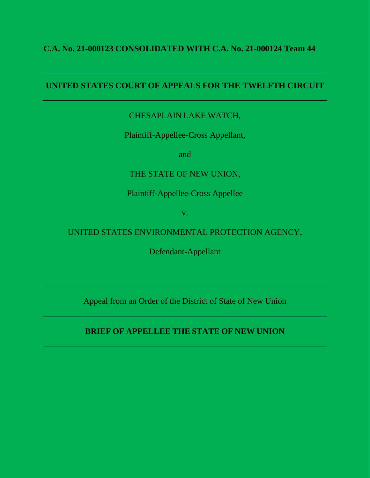## **C.A. No. 21-000123 CONSOLIDATED WITH C.A. No. 21-000124 Team 44**

## **UNITED STATES COURT OF APPEALS FOR THE TWELFTH CIRCUIT**

# CHESAPLAIN LAKE WATCH,

Plaintiff-Appellee-Cross Appellant,

and

# THE STATE OF NEW UNION,

## Plaintiff-Appellee-Cross Appellee

v.

# UNITED STATES ENVIRONMENTAL PROTECTION AGENCY,

Defendant-Appellant

Appeal from an Order of the District of State of New Union

# **BRIEF OF APPELLEE THE STATE OF NEW UNION**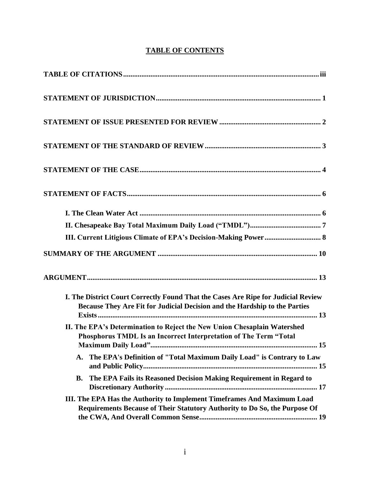## **TABLE OF CONTENTS**

| III. Current Litigious Climate of EPA's Decision-Making Power 8                                                                                                 |  |
|-----------------------------------------------------------------------------------------------------------------------------------------------------------------|--|
|                                                                                                                                                                 |  |
|                                                                                                                                                                 |  |
| I. The District Court Correctly Found That the Cases Are Ripe for Judicial Review<br>Because They Are Fit for Judicial Decision and the Hardship to the Parties |  |
| II. The EPA's Determination to Reject the New Union Chesaplain Watershed<br>Phosphorus TMDL Is an Incorrect Interpretation of The Term "Total                   |  |
| The EPA's Definition of "Total Maximum Daily Load" is Contrary to Law<br>$\mathbf{A}$ .                                                                         |  |
| The EPA Fails its Reasoned Decision Making Requirement in Regard to<br><b>B.</b>                                                                                |  |
| III. The EPA Has the Authority to Implement Timeframes And Maximum Load<br>Requirements Because of Their Statutory Authority to Do So, the Purpose Of           |  |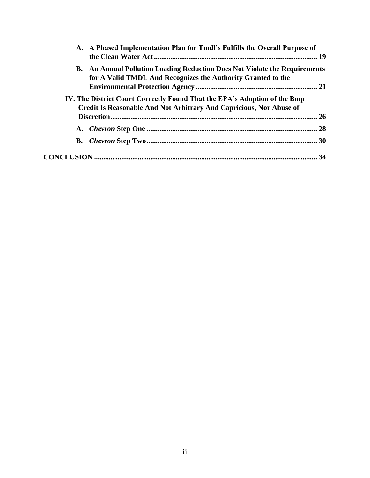| A. A Phased Implementation Plan for Tmdl's Fulfills the Overall Purpose of                                                                        |    |
|---------------------------------------------------------------------------------------------------------------------------------------------------|----|
| <b>B.</b> An Annual Pollution Loading Reduction Does Not Violate the Requirements<br>for A Valid TMDL And Recognizes the Authority Granted to the |    |
|                                                                                                                                                   |    |
| IV. The District Court Correctly Found That the EPA's Adoption of the Bmp<br>Credit Is Reasonable And Not Arbitrary And Capricious, Nor Abuse of  |    |
|                                                                                                                                                   | 26 |
|                                                                                                                                                   |    |
|                                                                                                                                                   |    |
|                                                                                                                                                   |    |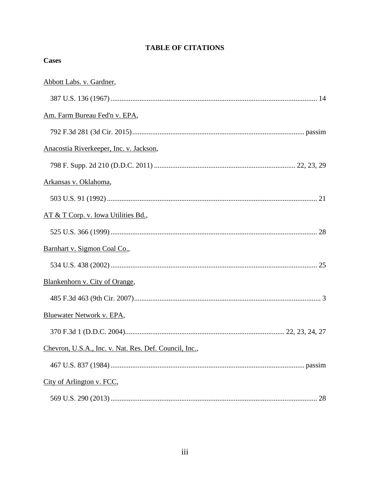## **TABLE OF CITATIONS**

**Cases** 

| Abbott Labs. v. Gardner,                               |  |
|--------------------------------------------------------|--|
|                                                        |  |
| Am. Farm Bureau Fed'n v. EPA,                          |  |
|                                                        |  |
| Anacostia Riverkeeper, Inc. v. Jackson,                |  |
|                                                        |  |
| Arkansas v. Oklahoma,                                  |  |
|                                                        |  |
| AT & T Corp. v. Iowa Utilities Bd.,                    |  |
|                                                        |  |
| Barnhart v. Sigmon Coal Co.,                           |  |
|                                                        |  |
| Blankenhorn v. City of Orange,                         |  |
|                                                        |  |
| Bluewater Network v. EPA,                              |  |
|                                                        |  |
| Chevron, U.S.A., Inc. v. Nat. Res. Def. Council, Inc., |  |
|                                                        |  |
| City of Arlington v. FCC,                              |  |
|                                                        |  |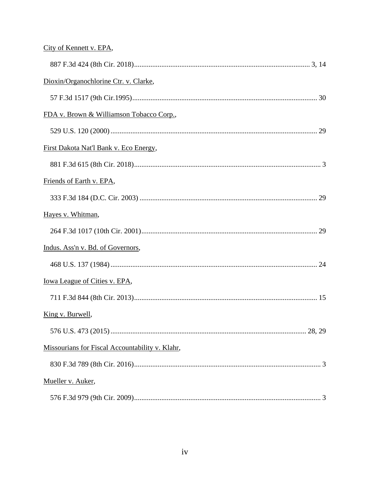# City of Kennett v. EPA,

| Dioxin/Organochlorine Ctr. v. Clarke,           |
|-------------------------------------------------|
|                                                 |
| FDA v. Brown & Williamson Tobacco Corp.,        |
|                                                 |
| First Dakota Nat'l Bank v. Eco Energy,          |
|                                                 |
| Friends of Earth v. EPA,                        |
|                                                 |
| Hayes v. Whitman,                               |
|                                                 |
| Indus. Ass'n v. Bd. of Governors,               |
|                                                 |
| Iowa League of Cities v. EPA,                   |
|                                                 |
| King v. Burwell,                                |
|                                                 |
| Missourians for Fiscal Accountability v. Klahr, |
|                                                 |
| Mueller v. Auker,                               |
|                                                 |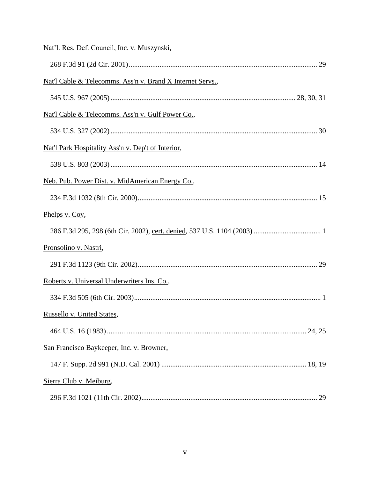| Nat'l. Res. Def. Council, Inc. v. Muszynski,               |
|------------------------------------------------------------|
|                                                            |
| Nat'l Cable & Telecomms. Ass'n v. Brand X Internet Servs., |
|                                                            |
| Nat'l Cable & Telecomms. Ass'n v. Gulf Power Co.,          |
|                                                            |
| Nat'l Park Hospitality Ass'n v. Dep't of Interior,         |
|                                                            |
| Neb. Pub. Power Dist. v. MidAmerican Energy Co.,           |
|                                                            |
| Phelps v. Coy,                                             |
|                                                            |
| Pronsolino v. Nastri,                                      |
|                                                            |
| Roberts v. Universal Underwriters Ins. Co.,                |
|                                                            |
| Russello v. United States,                                 |
|                                                            |
| San Francisco Baykeeper, Inc. v. Browner,                  |
|                                                            |
| Sierra Club v. Meiburg,                                    |
|                                                            |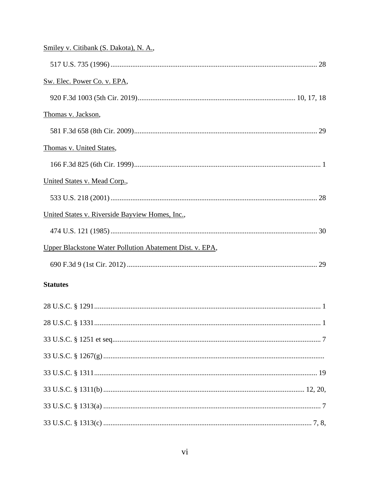| Smiley v. Citibank (S. Dakota), N. A.,                   |  |
|----------------------------------------------------------|--|
|                                                          |  |
| Sw. Elec. Power Co. v. EPA,                              |  |
|                                                          |  |
| Thomas v. Jackson,                                       |  |
|                                                          |  |
| Thomas v. United States,                                 |  |
|                                                          |  |
| United States v. Mead Corp.,                             |  |
|                                                          |  |
| United States v. Riverside Bayview Homes, Inc.,          |  |
|                                                          |  |
| Upper Blackstone Water Pollution Abatement Dist. v. EPA, |  |
|                                                          |  |
| <b>Statutes</b>                                          |  |
|                                                          |  |
|                                                          |  |
|                                                          |  |
|                                                          |  |
|                                                          |  |
|                                                          |  |
|                                                          |  |
|                                                          |  |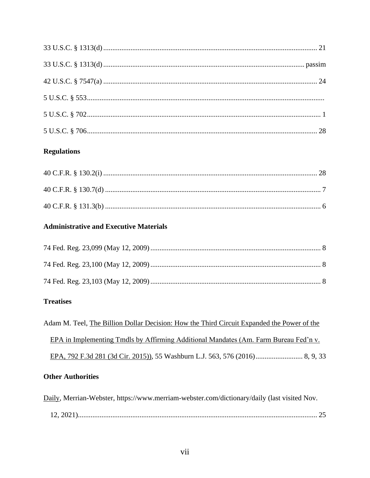## **Regulations**

# **Administrative and Executive Materials**

# **Treatises**

| Adam M. Teel, The Billion Dollar Decision: How the Third Circuit Expanded the Power of the |
|--------------------------------------------------------------------------------------------|
| EPA in Implementing Tmdls by Affirming Additional Mandates (Am. Farm Bureau Fed'n v.       |
|                                                                                            |
| <b>Other Authorities</b>                                                                   |

| Daily, Merrian-Webster, https://www.merriam-webster.com/dictionary/daily (last visited Nov. |
|---------------------------------------------------------------------------------------------|
|                                                                                             |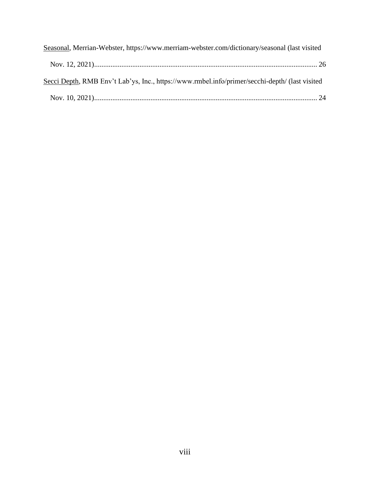| Seasonal, Merrian-Webster, https://www.merriam-webster.com/dictionary/seasonal (last visited   |
|------------------------------------------------------------------------------------------------|
|                                                                                                |
| Secci Depth, RMB Env't Lab'ys, Inc., https://www.rmbel.info/primer/secchi-depth/ (last visited |
|                                                                                                |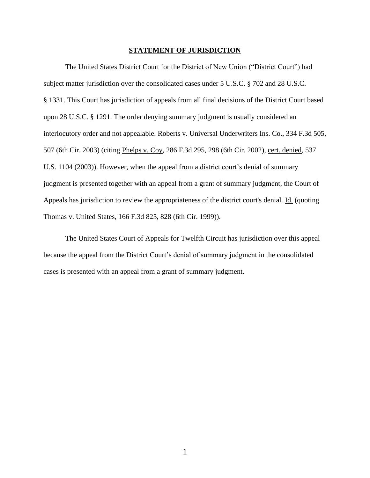### **STATEMENT OF JURISDICTION**

The United States District Court for the District of New Union ("District Court") had subject matter jurisdiction over the consolidated cases under 5 U.S.C. § 702 and 28 U.S.C. § 1331. This Court has jurisdiction of appeals from all final decisions of the District Court based upon 28 U.S.C. § 1291. The order denying summary judgment is usually considered an interlocutory order and not appealable. Roberts v. Universal Underwriters Ins. Co., 334 F.3d 505, 507 (6th Cir. 2003) (citing Phelps v. Coy, 286 F.3d 295, 298 (6th Cir. 2002), cert. denied, 537 U.S. 1104 (2003)). However, when the appeal from a district court's denial of summary judgment is presented together with an appeal from a grant of summary judgment, the Court of Appeals has jurisdiction to review the appropriateness of the district court's denial. Id. (quoting Thomas v. United States, 166 F.3d 825, 828 (6th Cir. 1999)).

The United States Court of Appeals for Twelfth Circuit has jurisdiction over this appeal because the appeal from the District Court's denial of summary judgment in the consolidated cases is presented with an appeal from a grant of summary judgment.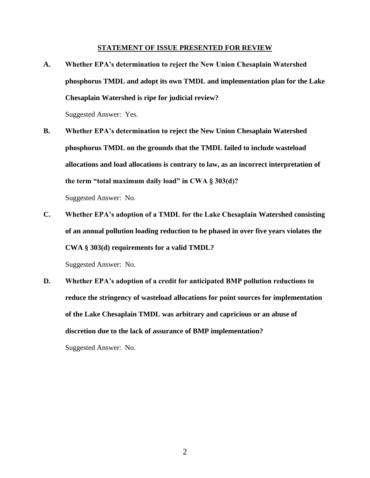#### **STATEMENT OF ISSUE PRESENTED FOR REVIEW**

**A. Whether EPA's determination to reject the New Union Chesaplain Watershed phosphorus TMDL and adopt its own TMDL and implementation plan for the Lake Chesaplain Watershed is ripe for judicial review?**

Suggested Answer: Yes.

**B. Whether EPA's determination to reject the New Union Chesaplain Watershed phosphorus TMDL on the grounds that the TMDL failed to include wasteload allocations and load allocations is contrary to law, as an incorrect interpretation of the term "total maximum daily load" in CWA § 303(d)?**

Suggested Answer: No.

**C. Whether EPA's adoption of a TMDL for the Lake Chesaplain Watershed consisting of an annual pollution loading reduction to be phased in over five years violates the CWA § 303(d) requirements for a valid TMDL?**

Suggested Answer: No.

**D. Whether EPA's adoption of a credit for anticipated BMP pollution reductions to reduce the stringency of wasteload allocations for point sources for implementation of the Lake Chesaplain TMDL was arbitrary and capricious or an abuse of discretion due to the lack of assurance of BMP implementation?** Suggested Answer: No.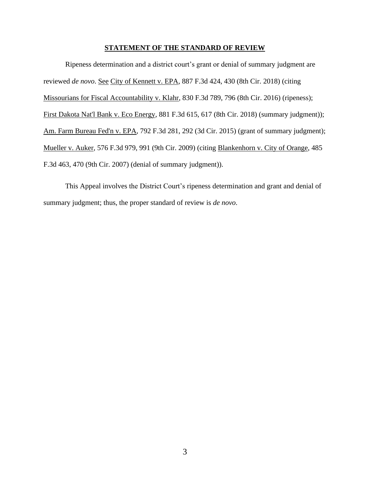#### **STATEMENT OF THE STANDARD OF REVIEW**

Ripeness determination and a district court's grant or denial of summary judgment are reviewed *de novo*. See City of Kennett v. EPA, 887 F.3d 424, 430 (8th Cir. 2018) (citing Missourians for Fiscal Accountability v. Klahr, 830 F.3d 789, 796 (8th Cir. 2016) (ripeness); First Dakota Nat'l Bank v. Eco Energy, 881 F.3d 615, 617 (8th Cir. 2018) (summary judgment)); Am. Farm Bureau Fed'n v. EPA, 792 F.3d 281, 292 (3d Cir. 2015) (grant of summary judgment); Mueller v. Auker, 576 F.3d 979, 991 (9th Cir. 2009) (citing Blankenhorn v. City of Orange, 485 F.3d 463, 470 (9th Cir. 2007) (denial of summary judgment)).

This Appeal involves the District Court's ripeness determination and grant and denial of summary judgment; thus, the proper standard of review is *de novo*.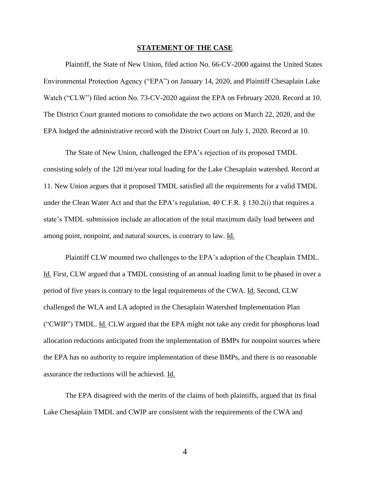#### **STATEMENT OF THE CASE**

Plaintiff, the State of New Union, filed action No. 66-CV-2000 against the United States Environmental Protection Agency ("EPA") on January 14, 2020, and Plaintiff Chesaplain Lake Watch ("CLW") filed action No. 73-CV-2020 against the EPA on February 2020. Record at 10. The District Court granted motions to consolidate the two actions on March 22, 2020, and the EPA lodged the administrative record with the District Court on July 1, 2020. Record at 10.

The State of New Union, challenged the EPA's rejection of its proposed TMDL consisting solely of the 120 mt/year total loading for the Lake Chesaplain watershed. Record at 11. New Union argues that it proposed TMDL satisfied all the requirements for a valid TMDL under the Clean Water Act and that the EPA's regulation, 40 C.F.R. § 130.2(i) that requires a state's TMDL submission include an allocation of the total maximum daily load between and among point, nonpoint, and natural sources, is contrary to law. Id.

Plaintiff CLW mounted two challenges to the EPA's adoption of the Cheaplain TMDL. Id. First, CLW argued that a TMDL consisting of an annual loading limit to be phased in over a period of five years is contrary to the legal requirements of the CWA. Id. Second, CLW challenged the WLA and LA adopted in the Chesaplain Watershed Implementation Plan ("CWIP") TMDL. Id. CLW argued that the EPA might not take any credit for phosphorus load allocation reductions anticipated from the implementation of BMPs for nonpoint sources where the EPA has no authority to require implementation of these BMPs, and there is no reasonable assurance the reductions will be achieved. Id.

The EPA disagreed with the merits of the claims of both plaintiffs, argued that its final Lake Chesaplain TMDL and CWIP are consistent with the requirements of the CWA and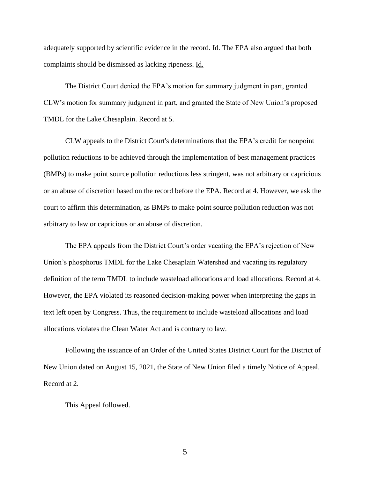adequately supported by scientific evidence in the record. Id. The EPA also argued that both complaints should be dismissed as lacking ripeness. Id.

The District Court denied the EPA's motion for summary judgment in part, granted CLW's motion for summary judgment in part, and granted the State of New Union's proposed TMDL for the Lake Chesaplain. Record at 5.

CLW appeals to the District Court's determinations that the EPA's credit for nonpoint pollution reductions to be achieved through the implementation of best management practices (BMPs) to make point source pollution reductions less stringent, was not arbitrary or capricious or an abuse of discretion based on the record before the EPA. Record at 4. However, we ask the court to affirm this determination, as BMPs to make point source pollution reduction was not arbitrary to law or capricious or an abuse of discretion.

The EPA appeals from the District Court's order vacating the EPA's rejection of New Union's phosphorus TMDL for the Lake Chesaplain Watershed and vacating its regulatory definition of the term TMDL to include wasteload allocations and load allocations. Record at 4. However, the EPA violated its reasoned decision-making power when interpreting the gaps in text left open by Congress. Thus, the requirement to include wasteload allocations and load allocations violates the Clean Water Act and is contrary to law.

Following the issuance of an Order of the United States District Court for the District of New Union dated on August 15, 2021, the State of New Union filed a timely Notice of Appeal. Record at 2.

This Appeal followed.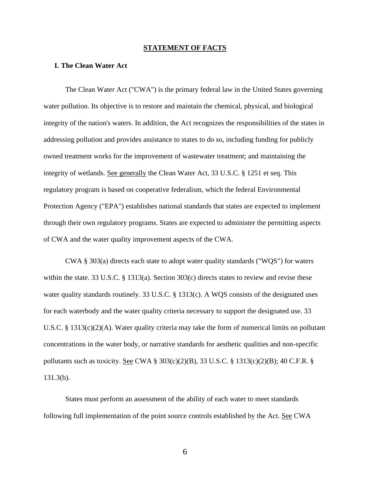#### **STATEMENT OF FACTS**

#### **I. The Clean Water Act**

The Clean Water Act ("CWA") is the primary federal law in the United States governing water pollution. Its objective is to restore and maintain the chemical, physical, and biological integrity of the nation's waters. In addition, the Act recognizes the responsibilities of the states in addressing pollution and provides assistance to states to do so, including funding for publicly owned treatment works for the improvement of wastewater treatment; and maintaining the integrity of wetlands. See generally the Clean Water Act, 33 U.S.C. § 1251 et seq. This regulatory program is based on cooperative federalism, which the federal Environmental Protection Agency ("EPA") establishes national standards that states are expected to implement through their own regulatory programs. States are expected to administer the permitting aspects of CWA and the water quality improvement aspects of the CWA.

CWA § 303(a) directs each state to adopt water quality standards ("WQS") for waters within the state. 33 U.S.C. § 1313(a). Section 303(c) directs states to review and revise these water quality standards routinely. 33 U.S.C. § 1313(c). A WQS consists of the designated uses for each waterbody and the water quality criteria necessary to support the designated use. 33 U.S.C. § 1313(c)(2)(A). Water quality criteria may take the form of numerical limits on pollutant concentrations in the water body, or narrative standards for aesthetic qualities and non-specific pollutants such as toxicity. See CWA § 303(c)(2)(B), 33 U.S.C. § 1313(c)(2)(B); 40 C.F.R. § 131.3(b).

States must perform an assessment of the ability of each water to meet standards following full implementation of the point source controls established by the Act. See CWA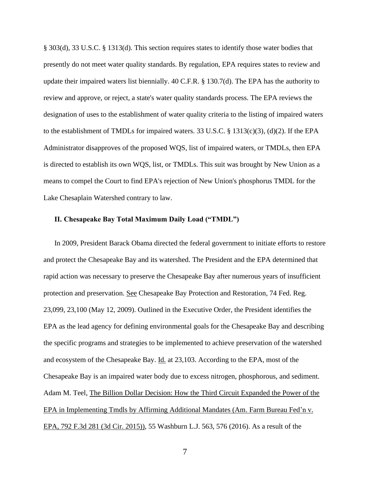§ 303(d), 33 U.S.C. § 1313(d). This section requires states to identify those water bodies that presently do not meet water quality standards. By regulation, EPA requires states to review and update their impaired waters list biennially. 40 C.F.R. § 130.7(d). The EPA has the authority to review and approve, or reject, a state's water quality standards process. The EPA reviews the designation of uses to the establishment of water quality criteria to the listing of impaired waters to the establishment of TMDLs for impaired waters. 33 U.S.C. § 1313(c)(3), (d)(2). If the EPA Administrator disapproves of the proposed WQS, list of impaired waters, or TMDLs, then EPA is directed to establish its own WQS, list, or TMDLs. This suit was brought by New Union as a means to compel the Court to find EPA's rejection of New Union's phosphorus TMDL for the Lake Chesaplain Watershed contrary to law.

### **II. Chesapeake Bay Total Maximum Daily Load ("TMDL")**

In 2009, President Barack Obama directed the federal government to initiate efforts to restore and protect the Chesapeake Bay and its watershed. The President and the EPA determined that rapid action was necessary to preserve the Chesapeake Bay after numerous years of insufficient protection and preservation. See Chesapeake Bay Protection and Restoration, 74 Fed. Reg. 23,099, 23,100 (May 12, 2009). Outlined in the Executive Order, the President identifies the EPA as the lead agency for defining environmental goals for the Chesapeake Bay and describing the specific programs and strategies to be implemented to achieve preservation of the watershed and ecosystem of the Chesapeake Bay. Id. at 23,103. According to the EPA, most of the Chesapeake Bay is an impaired water body due to excess nitrogen, phosphorous, and sediment. Adam M. Teel, The Billion Dollar Decision: How the Third Circuit Expanded the Power of the EPA in Implementing Tmdls by Affirming Additional Mandates (Am. Farm Bureau Fed'n v. EPA, 792 F.3d 281 (3d Cir. 2015)), 55 Washburn L.J. 563, 576 (2016). As a result of the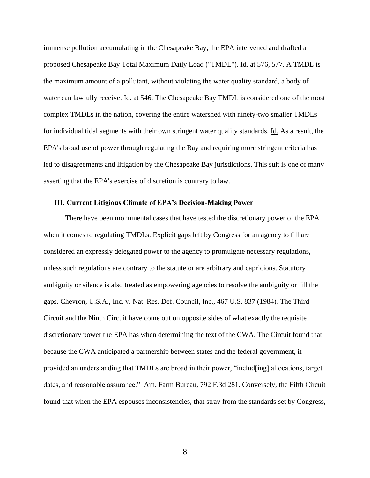immense pollution accumulating in the Chesapeake Bay, the EPA intervened and drafted a proposed Chesapeake Bay Total Maximum Daily Load ("TMDL"). Id. at 576, 577. A TMDL is the maximum amount of a pollutant, without violating the water quality standard, a body of water can lawfully receive. Id. at 546. The Chesapeake Bay TMDL is considered one of the most complex TMDLs in the nation, covering the entire watershed with ninety-two smaller TMDLs for individual tidal segments with their own stringent water quality standards. Id. As a result, the EPA's broad use of power through regulating the Bay and requiring more stringent criteria has led to disagreements and litigation by the Chesapeake Bay jurisdictions. This suit is one of many asserting that the EPA's exercise of discretion is contrary to law.

### **III. Current Litigious Climate of EPA's Decision-Making Power**

There have been monumental cases that have tested the discretionary power of the EPA when it comes to regulating TMDLs. Explicit gaps left by Congress for an agency to fill are considered an expressly delegated power to the agency to promulgate necessary regulations, unless such regulations are contrary to the statute or are arbitrary and capricious. Statutory ambiguity or silence is also treated as empowering agencies to resolve the ambiguity or fill the gaps. Chevron, U.S.A., Inc. v. Nat. Res. Def. Council, Inc., 467 U.S. 837 (1984). The Third Circuit and the Ninth Circuit have come out on opposite sides of what exactly the requisite discretionary power the EPA has when determining the text of the CWA. The Circuit found that because the CWA anticipated a partnership between states and the federal government, it provided an understanding that TMDLs are broad in their power, "includ[ing] allocations, target dates, and reasonable assurance." Am. Farm Bureau, 792 F.3d 281. Conversely, the Fifth Circuit found that when the EPA espouses inconsistencies, that stray from the standards set by Congress,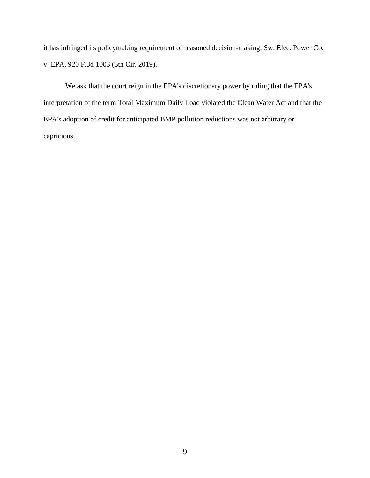it has infringed its policymaking requirement of reasoned decision-making. Sw. Elec. Power Co. v. EPA, 920 F.3d 1003 (5th Cir. 2019).

We ask that the court reign in the EPA's discretionary power by ruling that the EPA's interpretation of the term Total Maximum Daily Load violated the Clean Water Act and that the EPA's adoption of credit for anticipated BMP pollution reductions was not arbitrary or capricious.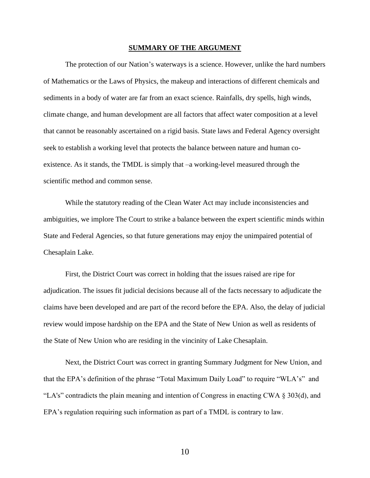#### **SUMMARY OF THE ARGUMENT**

The protection of our Nation's waterways is a science. However, unlike the hard numbers of Mathematics or the Laws of Physics, the makeup and interactions of different chemicals and sediments in a body of water are far from an exact science. Rainfalls, dry spells, high winds, climate change, and human development are all factors that affect water composition at a level that cannot be reasonably ascertained on a rigid basis. State laws and Federal Agency oversight seek to establish a working level that protects the balance between nature and human coexistence. As it stands, the TMDL is simply that –a working-level measured through the scientific method and common sense.

While the statutory reading of the Clean Water Act may include inconsistencies and ambiguities, we implore The Court to strike a balance between the expert scientific minds within State and Federal Agencies, so that future generations may enjoy the unimpaired potential of Chesaplain Lake.

First, the District Court was correct in holding that the issues raised are ripe for adjudication. The issues fit judicial decisions because all of the facts necessary to adjudicate the claims have been developed and are part of the record before the EPA. Also, the delay of judicial review would impose hardship on the EPA and the State of New Union as well as residents of the State of New Union who are residing in the vincinity of Lake Chesaplain.

Next, the District Court was correct in granting Summary Judgment for New Union, and that the EPA's definition of the phrase "Total Maximum Daily Load" to require "WLA's" and "LA's" contradicts the plain meaning and intention of Congress in enacting CWA § 303(d), and EPA's regulation requiring such information as part of a TMDL is contrary to law.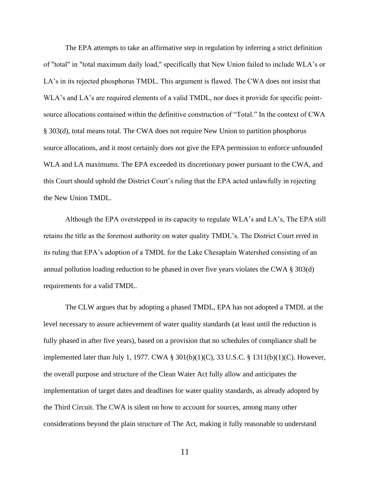The EPA attempts to take an affirmative step in regulation by inferring a strict definition of "total" in "total maximum daily load," specifically that New Union failed to include WLA's or LA's in its rejected phosphorus TMDL. This argument is flawed. The CWA does not insist that WLA's and LA's are required elements of a valid TMDL, nor does it provide for specific pointsource allocations contained within the definitive construction of "Total." In the context of CWA § 303(d), total means total. The CWA does not require New Union to partition phosphorus source allocations, and it most certainly does not give the EPA permission to enforce unfounded WLA and LA maximums. The EPA exceeded its discretionary power pursuant to the CWA, and this Court should uphold the District Court's ruling that the EPA acted unlawfully in rejecting the New Union TMDL.

Although the EPA overstepped in its capacity to regulate WLA's and LA's, The EPA still retains the title as the foremost authority on water quality TMDL's. The District Court erred in its ruling that EPA's adoption of a TMDL for the Lake Chesaplain Watershed consisting of an annual pollution loading reduction to be phased in over five years violates the CWA § 303(d) requirements for a valid TMDL.

The CLW argues that by adopting a phased TMDL, EPA has not adopted a TMDL at the level necessary to assure achievement of water quality standards (at least until the reduction is fully phased in after five years), based on a provision that no schedules of compliance shall be implemented later than July 1, 1977. CWA § 301(b)(1)(C), 33 U.S.C. § 1311(b)(1)(C). However, the overall purpose and structure of the Clean Water Act fully allow and anticipates the implementation of target dates and deadlines for water quality standards, as already adopted by the Third Circuit. The CWA is silent on how to account for sources, among many other considerations beyond the plain structure of The Act, making it fully reasonable to understand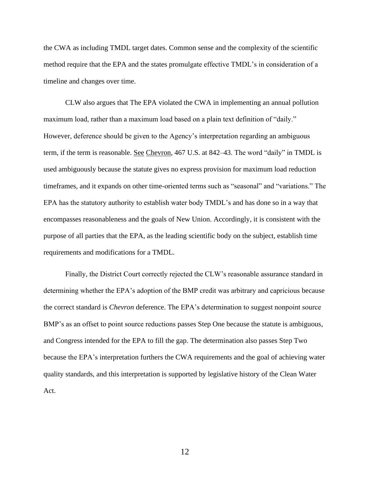the CWA as including TMDL target dates. Common sense and the complexity of the scientific method require that the EPA and the states promulgate effective TMDL's in consideration of a timeline and changes over time.

CLW also argues that The EPA violated the CWA in implementing an annual pollution maximum load, rather than a maximum load based on a plain text definition of "daily." However, deference should be given to the Agency's interpretation regarding an ambiguous term, if the term is reasonable. See Chevron, 467 U.S. at 842–43. The word "daily" in TMDL is used ambiguously because the statute gives no express provision for maximum load reduction timeframes, and it expands on other time-oriented terms such as "seasonal" and "variations." The EPA has the statutory authority to establish water body TMDL's and has done so in a way that encompasses reasonableness and the goals of New Union. Accordingly, it is consistent with the purpose of all parties that the EPA, as the leading scientific body on the subject, establish time requirements and modifications for a TMDL.

Finally, the District Court correctly rejected the CLW's reasonable assurance standard in determining whether the EPA's adoption of the BMP credit was arbitrary and capricious because the correct standard is *Chevron* deference. The EPA's determination to suggest nonpoint source BMP's as an offset to point source reductions passes Step One because the statute is ambiguous, and Congress intended for the EPA to fill the gap. The determination also passes Step Two because the EPA's interpretation furthers the CWA requirements and the goal of achieving water quality standards, and this interpretation is supported by legislative history of the Clean Water Act.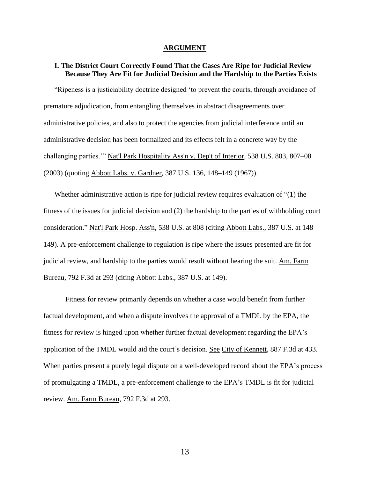#### **ARGUMENT**

### **I. The District Court Correctly Found That the Cases Are Ripe for Judicial Review Because They Are Fit for Judicial Decision and the Hardship to the Parties Exists**

"Ripeness is a justiciability doctrine designed 'to prevent the courts, through avoidance of premature adjudication, from entangling themselves in abstract disagreements over administrative policies, and also to protect the agencies from judicial interference until an administrative decision has been formalized and its effects felt in a concrete way by the challenging parties.'" Nat'l Park Hospitality Ass'n v. Dep't of Interior, 538 U.S. 803, 807–08 (2003) (quoting Abbott Labs. v. Gardner, 387 U.S. 136, 148–149 (1967)).

Whether administrative action is ripe for judicial review requires evaluation of "(1) the fitness of the issues for judicial decision and (2) the hardship to the parties of withholding court consideration." Nat'l Park Hosp. Ass'n, 538 U.S. at 808 (citing Abbott Labs., 387 U.S. at 148– 149). A pre-enforcement challenge to regulation is ripe where the issues presented are fit for judicial review, and hardship to the parties would result without hearing the suit. Am. Farm Bureau, 792 F.3d at 293 (citing Abbott Labs., 387 U.S. at 149).

Fitness for review primarily depends on whether a case would benefit from further factual development, and when a dispute involves the approval of a TMDL by the EPA, the fitness for review is hinged upon whether further factual development regarding the EPA's application of the TMDL would aid the court's decision. See City of Kennett, 887 F.3d at 433. When parties present a purely legal dispute on a well-developed record about the EPA's process of promulgating a TMDL, a pre-enforcement challenge to the EPA's TMDL is fit for judicial review. Am. Farm Bureau, 792 F.3d at 293.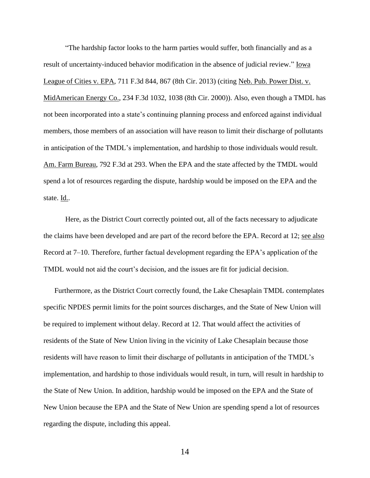"The hardship factor looks to the harm parties would suffer, both financially and as a result of uncertainty-induced behavior modification in the absence of judicial review." Iowa League of Cities v. EPA, 711 F.3d 844, 867 (8th Cir. 2013) (citing Neb. Pub. Power Dist. v. MidAmerican Energy Co., 234 F.3d 1032, 1038 (8th Cir. 2000)). Also, even though a TMDL has not been incorporated into a state's continuing planning process and enforced against individual members, those members of an association will have reason to limit their discharge of pollutants in anticipation of the TMDL's implementation, and hardship to those individuals would result. Am. Farm Bureau, 792 F.3d at 293. When the EPA and the state affected by the TMDL would spend a lot of resources regarding the dispute, hardship would be imposed on the EPA and the state. Id..

Here, as the District Court correctly pointed out, all of the facts necessary to adjudicate the claims have been developed and are part of the record before the EPA. Record at 12; see also Record at 7–10. Therefore, further factual development regarding the EPA's application of the TMDL would not aid the court's decision, and the issues are fit for judicial decision.

Furthermore, as the District Court correctly found, the Lake Chesaplain TMDL contemplates specific NPDES permit limits for the point sources discharges, and the State of New Union will be required to implement without delay. Record at 12. That would affect the activities of residents of the State of New Union living in the vicinity of Lake Chesaplain because those residents will have reason to limit their discharge of pollutants in anticipation of the TMDL's implementation, and hardship to those individuals would result, in turn, will result in hardship to the State of New Union. In addition, hardship would be imposed on the EPA and the State of New Union because the EPA and the State of New Union are spending spend a lot of resources regarding the dispute, including this appeal.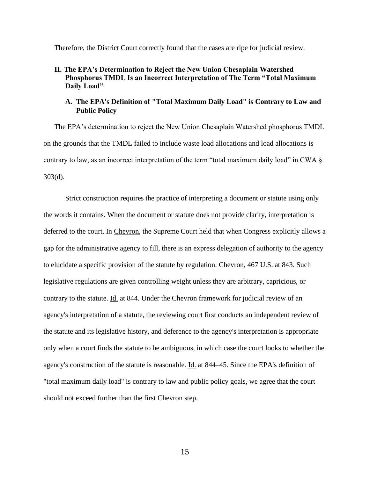Therefore, the District Court correctly found that the cases are ripe for judicial review.

### **II. The EPA's Determination to Reject the New Union Chesaplain Watershed Phosphorus TMDL Is an Incorrect Interpretation of The Term "Total Maximum Daily Load"**

### **A. The EPA's Definition of "Total Maximum Daily Load" is Contrary to Law and Public Policy**

The EPA's determination to reject the New Union Chesaplain Watershed phosphorus TMDL on the grounds that the TMDL failed to include waste load allocations and load allocations is contrary to law, as an incorrect interpretation of the term "total maximum daily load" in CWA § 303(d).

Strict construction requires the practice of interpreting a document or statute using only the words it contains. When the document or statute does not provide clarity, interpretation is deferred to the court. In Chevron, the Supreme Court held that when Congress explicitly allows a gap for the administrative agency to fill, there is an express delegation of authority to the agency to elucidate a specific provision of the statute by regulation. Chevron, 467 U.S. at 843. Such legislative regulations are given controlling weight unless they are arbitrary, capricious, or contrary to the statute. Id. at 844. Under the Chevron framework for judicial review of an agency's interpretation of a statute, the reviewing court first conducts an independent review of the statute and its legislative history, and deference to the agency's interpretation is appropriate only when a court finds the statute to be ambiguous, in which case the court looks to whether the agency's construction of the statute is reasonable. Id. at 844–45. Since the EPA's definition of "total maximum daily load" is contrary to law and public policy goals, we agree that the court should not exceed further than the first Chevron step.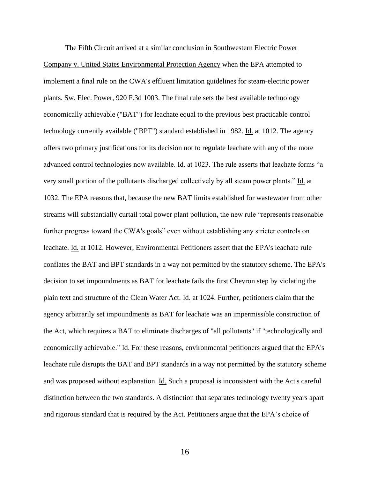The Fifth Circuit arrived at a similar conclusion in Southwestern Electric Power Company v. United States Environmental Protection Agency when the EPA attempted to implement a final rule on the CWA's effluent limitation guidelines for steam-electric power plants. Sw. Elec. Power, 920 F.3d 1003. The final rule sets the best available technology economically achievable ("BAT") for leachate equal to the previous best practicable control technology currently available ("BPT") standard established in 1982. Id. at 1012. The agency offers two primary justifications for its decision not to regulate leachate with any of the more advanced control technologies now available. Id. at 1023. The rule asserts that leachate forms "a very small portion of the pollutants discharged collectively by all steam power plants." Id. at 1032. The EPA reasons that, because the new BAT limits established for wastewater from other streams will substantially curtail total power plant pollution, the new rule "represents reasonable further progress toward the CWA's goals" even without establishing any stricter controls on leachate. Id. at 1012. However, Environmental Petitioners assert that the EPA's leachate rule conflates the BAT and BPT standards in a way not permitted by the statutory scheme. The EPA's decision to set impoundments as BAT for leachate fails the first Chevron step by violating the plain text and structure of the Clean Water Act. Id. at 1024. Further, petitioners claim that the agency arbitrarily set impoundments as BAT for leachate was an impermissible construction of the Act, which requires a BAT to eliminate discharges of "all pollutants" if "technologically and economically achievable." Id. For these reasons, environmental petitioners argued that the EPA's leachate rule disrupts the BAT and BPT standards in a way not permitted by the statutory scheme and was proposed without explanation. <u>Id.</u> Such a proposal is inconsistent with the Act's careful distinction between the two standards. A distinction that separates technology twenty years apart and rigorous standard that is required by the Act. Petitioners argue that the EPA's choice of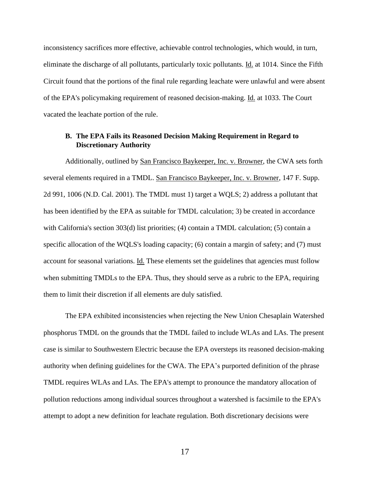inconsistency sacrifices more effective, achievable control technologies, which would, in turn, eliminate the discharge of all pollutants, particularly toxic pollutants. Id. at 1014. Since the Fifth Circuit found that the portions of the final rule regarding leachate were unlawful and were absent of the EPA's policymaking requirement of reasoned decision-making. Id. at 1033. The Court vacated the leachate portion of the rule.

## **B. The EPA Fails its Reasoned Decision Making Requirement in Regard to Discretionary Authority**

Additionally, outlined by San Francisco Baykeeper, Inc. v. Browner, the CWA sets forth several elements required in a TMDL. San Francisco Baykeeper, Inc. v. Browner, 147 F. Supp. 2d 991, 1006 (N.D. Cal. 2001). The TMDL must 1) target a WQLS; 2) address a pollutant that has been identified by the EPA as suitable for TMDL calculation; 3) be created in accordance with California's section 303(d) list priorities; (4) contain a TMDL calculation; (5) contain a specific allocation of the WQLS's loading capacity; (6) contain a margin of safety; and (7) must account for seasonal variations. Id. These elements set the guidelines that agencies must follow when submitting TMDLs to the EPA. Thus, they should serve as a rubric to the EPA, requiring them to limit their discretion if all elements are duly satisfied.

The EPA exhibited inconsistencies when rejecting the New Union Chesaplain Watershed phosphorus TMDL on the grounds that the TMDL failed to include WLAs and LAs. The present case is similar to Southwestern Electric because the EPA oversteps its reasoned decision-making authority when defining guidelines for the CWA. The EPA's purported definition of the phrase TMDL requires WLAs and LAs. The EPA's attempt to pronounce the mandatory allocation of pollution reductions among individual sources throughout a watershed is facsimile to the EPA's attempt to adopt a new definition for leachate regulation. Both discretionary decisions were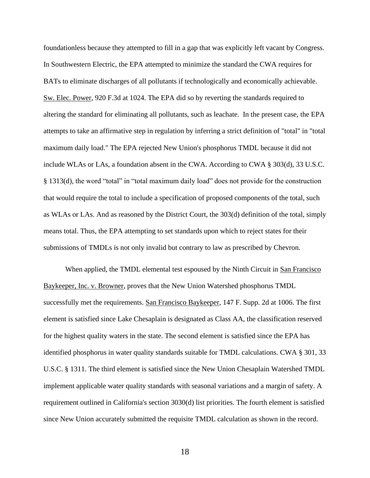foundationless because they attempted to fill in a gap that was explicitly left vacant by Congress. In Southwestern Electric, the EPA attempted to minimize the standard the CWA requires for BATs to eliminate discharges of all pollutants if technologically and economically achievable. Sw. Elec. Power, 920 F.3d at 1024. The EPA did so by reverting the standards required to altering the standard for eliminating all pollutants, such as leachate. In the present case, the EPA attempts to take an affirmative step in regulation by inferring a strict definition of "total" in "total maximum daily load." The EPA rejected New Union's phosphorus TMDL because it did not include WLAs or LAs, a foundation absent in the CWA. According to CWA § 303(d), 33 U.S.C. § 1313(d), the word "total" in "total maximum daily load" does not provide for the construction that would require the total to include a specification of proposed components of the total, such as WLAs or LAs. And as reasoned by the District Court, the 303(d) definition of the total, simply means total. Thus, the EPA attempting to set standards upon which to reject states for their submissions of TMDLs is not only invalid but contrary to law as prescribed by Chevron.

When applied, the TMDL elemental test espoused by the Ninth Circuit in San Francisco Baykeeper, Inc. v. Browner, proves that the New Union Watershed phosphorus TMDL successfully met the requirements. San Francisco Baykeeper, 147 F. Supp. 2d at 1006. The first element is satisfied since Lake Chesaplain is designated as Class AA, the classification reserved for the highest quality waters in the state. The second element is satisfied since the EPA has identified phosphorus in water quality standards suitable for TMDL calculations. CWA § 301, 33 U.S.C. § 1311. The third element is satisfied since the New Union Chesaplain Watershed TMDL implement applicable water quality standards with seasonal variations and a margin of safety. A requirement outlined in California's section 3030(d) list priorities. The fourth element is satisfied since New Union accurately submitted the requisite TMDL calculation as shown in the record.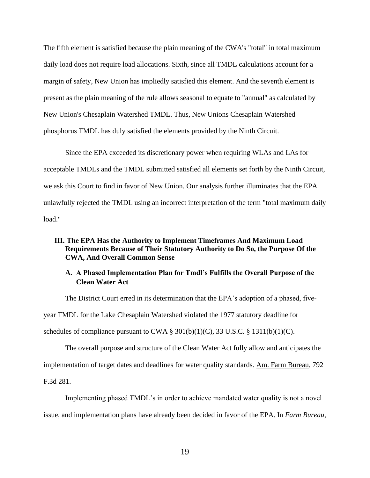The fifth element is satisfied because the plain meaning of the CWA's "total" in total maximum daily load does not require load allocations. Sixth, since all TMDL calculations account for a margin of safety, New Union has impliedly satisfied this element. And the seventh element is present as the plain meaning of the rule allows seasonal to equate to "annual" as calculated by New Union's Chesaplain Watershed TMDL. Thus, New Unions Chesaplain Watershed phosphorus TMDL has duly satisfied the elements provided by the Ninth Circuit.

Since the EPA exceeded its discretionary power when requiring WLAs and LAs for acceptable TMDLs and the TMDL submitted satisfied all elements set forth by the Ninth Circuit, we ask this Court to find in favor of New Union. Our analysis further illuminates that the EPA unlawfully rejected the TMDL using an incorrect interpretation of the term "total maximum daily load."

### **III. The EPA Has the Authority to Implement Timeframes And Maximum Load Requirements Because of Their Statutory Authority to Do So, the Purpose Of the CWA, And Overall Common Sense**

## **A. A Phased Implementation Plan for Tmdl's Fulfills the Overall Purpose of the Clean Water Act**

The District Court erred in its determination that the EPA's adoption of a phased, fiveyear TMDL for the Lake Chesaplain Watershed violated the 1977 statutory deadline for schedules of compliance pursuant to CWA  $\S 301(b)(1)(C)$ , 33 U.S.C.  $\S 1311(b)(1)(C)$ .

The overall purpose and structure of the Clean Water Act fully allow and anticipates the implementation of target dates and deadlines for water quality standards. Am. Farm Bureau, 792 F.3d 281.

Implementing phased TMDL's in order to achieve mandated water quality is not a novel issue, and implementation plans have already been decided in favor of the EPA. In *Farm Bureau*,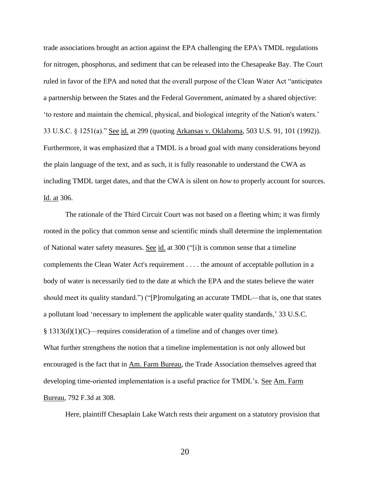trade associations brought an action against the EPA challenging the EPA's TMDL regulations for nitrogen, phosphorus, and sediment that can be released into the Chesapeake Bay. The Court ruled in favor of the EPA and noted that the overall purpose of the Clean Water Act "anticipates a partnership between the States and the Federal Government, animated by a shared objective: 'to restore and maintain the chemical, physical, and biological integrity of the Nation's waters.' 33 U.S.C. § 1251(a)." See id. at 299 (quoting Arkansas v. Oklahoma, 503 U.S. 91, 101 (1992)). Furthermore, it was emphasized that a TMDL is a broad goal with many considerations beyond the plain language of the text, and as such, it is fully reasonable to understand the CWA as including TMDL target dates, and that the CWA is silent on *how* to properly account for sources. Id. at 306.

The rationale of the Third Circuit Court was not based on a fleeting whim; it was firmly rooted in the policy that common sense and scientific minds shall determine the implementation of National water safety measures. See id. at 300 ("[i]t is common sense that a timeline complements the Clean Water Act's requirement . . . . the amount of acceptable pollution in a body of water is necessarily tied to the date at which the EPA and the states believe the water should meet its quality standard.") ("[P]romulgating an accurate TMDL—that is, one that states a pollutant load 'necessary to implement the applicable water quality standards,' 33 U.S.C.  $§$  1313(d)(1)(C)—requires consideration of a timeline and of changes over time). What further strengthens the notion that a timeline implementation is not only allowed but encouraged is the fact that in Am. Farm Bureau, the Trade Association themselves agreed that developing time-oriented implementation is a useful practice for TMDL's. See Am. Farm Bureau, 792 F.3d at 308.

Here, plaintiff Chesaplain Lake Watch rests their argument on a statutory provision that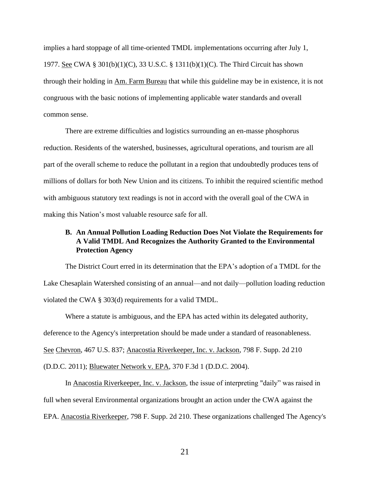implies a hard stoppage of all time-oriented TMDL implementations occurring after July 1, 1977. See CWA § 301(b)(1)(C), 33 U.S.C. § 1311(b)(1)(C). The Third Circuit has shown through their holding in Am. Farm Bureau that while this guideline may be in existence, it is not congruous with the basic notions of implementing applicable water standards and overall common sense.

There are extreme difficulties and logistics surrounding an en-masse phosphorus reduction. Residents of the watershed, businesses, agricultural operations, and tourism are all part of the overall scheme to reduce the pollutant in a region that undoubtedly produces tens of millions of dollars for both New Union and its citizens. To inhibit the required scientific method with ambiguous statutory text readings is not in accord with the overall goal of the CWA in making this Nation's most valuable resource safe for all.

## **B. An Annual Pollution Loading Reduction Does Not Violate the Requirements for A Valid TMDL And Recognizes the Authority Granted to the Environmental Protection Agency**

The District Court erred in its determination that the EPA's adoption of a TMDL for the Lake Chesaplain Watershed consisting of an annual—and not daily—pollution loading reduction violated the CWA § 303(d) requirements for a valid TMDL.

Where a statute is ambiguous, and the EPA has acted within its delegated authority, deference to the Agency's interpretation should be made under a standard of reasonableness. See Chevron, 467 U.S. 837; Anacostia Riverkeeper, Inc. v. Jackson, 798 F. Supp. 2d 210 (D.D.C. 2011); Bluewater Network v. EPA, 370 F.3d 1 (D.D.C. 2004).

In Anacostia Riverkeeper, Inc. v. Jackson, the issue of interpreting "daily" was raised in full when several Environmental organizations brought an action under the CWA against the EPA. Anacostia Riverkeeper, 798 F. Supp. 2d 210. These organizations challenged The Agency's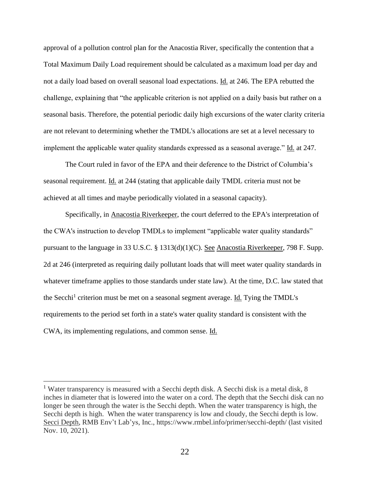approval of a pollution control plan for the Anacostia River, specifically the contention that a Total Maximum Daily Load requirement should be calculated as a maximum load per day and not a daily load based on overall seasonal load expectations. Id. at 246. The EPA rebutted the challenge, explaining that "the applicable criterion is not applied on a daily basis but rather on a seasonal basis. Therefore, the potential periodic daily high excursions of the water clarity criteria are not relevant to determining whether the TMDL's allocations are set at a level necessary to implement the applicable water quality standards expressed as a seasonal average." Id. at 247.

The Court ruled in favor of the EPA and their deference to the District of Columbia's seasonal requirement. Id. at 244 (stating that applicable daily TMDL criteria must not be achieved at all times and maybe periodically violated in a seasonal capacity).

Specifically, in Anacostia Riverkeeper, the court deferred to the EPA's interpretation of the CWA's instruction to develop TMDLs to implement "applicable water quality standards" pursuant to the language in 33 U.S.C. § 1313(d)(1)(C). See Anacostia Riverkeeper, 798 F. Supp. 2d at 246 (interpreted as requiring daily pollutant loads that will meet water quality standards in whatever timeframe applies to those standards under state law). At the time, D.C. law stated that the Secchi<sup>1</sup> criterion must be met on a seasonal segment average. Id. Tying the TMDL's requirements to the period set forth in a state's water quality standard is consistent with the CWA, its implementing regulations, and common sense. Id.

<sup>&</sup>lt;sup>1</sup> Water transparency is measured with a Secchi depth disk. A Secchi disk is a metal disk, 8 inches in diameter that is lowered into the water on a cord. The depth that the Secchi disk can no longer be seen through the water is the Secchi depth. When the water transparency is high, the Secchi depth is high. When the water transparency is low and cloudy, the Secchi depth is low. Secci Depth, RMB Env't Lab'ys, Inc., https://www.rmbel.info/primer/secchi-depth/ (last visited Nov. 10, 2021).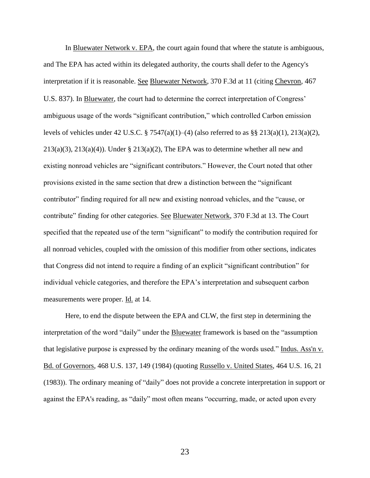In Bluewater Network v. EPA, the court again found that where the statute is ambiguous, and The EPA has acted within its delegated authority, the courts shall defer to the Agency's interpretation if it is reasonable. See Bluewater Network, 370 F.3d at 11 (citing [Chevron](https://1.next.westlaw.com/Link/Document/FullText?findType=Y&serNum=1984130736&pubNum=0000708&originatingDoc=I02c450bb8a0511d98b51ba734bfc3c79&refType=RP&originationContext=document&transitionType=DocumentItem&ppcid=3d7bceb678394b279a0cb984e814f59c&contextData=(sc.History*oc.DocLink))*,* 467 [U.S. 837](https://1.next.westlaw.com/Link/Document/FullText?findType=Y&serNum=1984130736&pubNum=0000708&originatingDoc=I02c450bb8a0511d98b51ba734bfc3c79&refType=RP&originationContext=document&transitionType=DocumentItem&ppcid=3d7bceb678394b279a0cb984e814f59c&contextData=(sc.History*oc.DocLink))). In Bluewater, the court had to determine the correct interpretation of Congress' ambiguous usage of the words "significant contribution," which controlled Carbon emission levels of vehicles under 42 U.S.C. § 7547(a)(1)–(4) (also referred to as §§ 213(a)(1), 213(a)(2),  $213(a)(3)$ ,  $213(a)(4)$ ). Under §  $213(a)(2)$ , The EPA was to determine whether all new and existing nonroad vehicles are "significant contributors." However, the Court noted that other provisions existed in the same section that drew a distinction between the "significant contributor" finding required for all new and existing nonroad vehicles, and the "cause, or contribute" finding for other categories. See Bluewater Network, 370 F.3d at 13. The Court specified that the repeated use of the term "significant" to modify the contribution required for all nonroad vehicles, coupled with the omission of this modifier from other sections, indicates that Congress did not intend to require a finding of an explicit "significant contribution" for individual vehicle categories, and therefore the EPA's interpretation and subsequent carbon measurements were proper. Id. at 14.

Here, to end the dispute between the EPA and CLW, the first step in determining the interpretation of the word "daily" under the Bluewater framework is based on the "assumption that legislative purpose is expressed by the ordinary meaning of the words used." Indus. Ass'n v. Bd. of Governors*,* 468 U.S. 137, 149 (1984) (quoting Russello v. United States*,* 464 U.S. 16, 21 (1983)). The ordinary meaning of "daily" does not provide a concrete interpretation in support or against the EPA's reading, as "daily" most often means "occurring, made, or acted upon every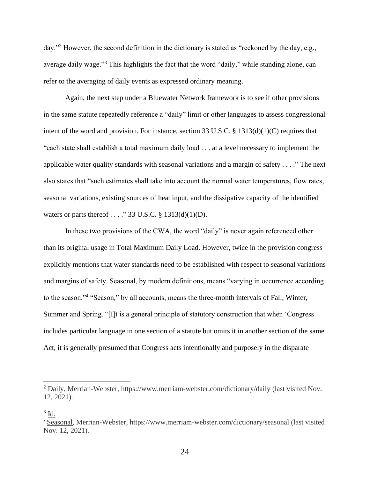day."<sup>2</sup> However, the second definition in the dictionary is stated as "reckoned by the day, e.g., average daily wage."<sup>3</sup> This highlights the fact that the word "daily," while standing alone, can refer to the averaging of daily events as expressed ordinary meaning.

Again, the next step under a Bluewater Network framework is to see if other provisions in the same statute repeatedly reference a "daily" limit or other languages to assess congressional intent of the word and provision. For instance, section 33 U.S.C. § 1313(d)(1)(C) requires that "each state shall establish a total maximum daily load . . . at a level necessary to implement the applicable water quality standards with seasonal variations and a margin of safety . . . ." The next also states that "such estimates shall take into account the normal water temperatures, flow rates, seasonal variations, existing sources of heat input, and the dissipative capacity of the identified waters or parts thereof . . . ." 33 U.S.C. § 1313(d)(1)(D).

In these two provisions of the CWA, the word "daily" is never again referenced other than its original usage in Total Maximum Daily Load. However, twice in the provision congress explicitly mentions that water standards need to be established with respect to seasonal variations and margins of safety. Seasonal, by modern definitions, means "varying in occurrence according to the season."<sup>4</sup> "Season," by all accounts, means the three-month intervals of Fall, Winter, Summer and Spring. "[I]t is a general principle of statutory construction that when 'Congress includes particular language in one section of a statute but omits it in another section of the same Act, it is generally presumed that Congress acts intentionally and purposely in the disparate

<sup>2</sup> Daily, Merrian-Webster, https://www.merriam-webster.com/dictionary/daily (last visited Nov. 12, 2021).

 $3 \underline{\text{Id}}$ .

<sup>4</sup> Seasonal, Merrian-Webster, https://www.merriam-webster.com/dictionary/seasonal (last visited Nov. 12, 2021).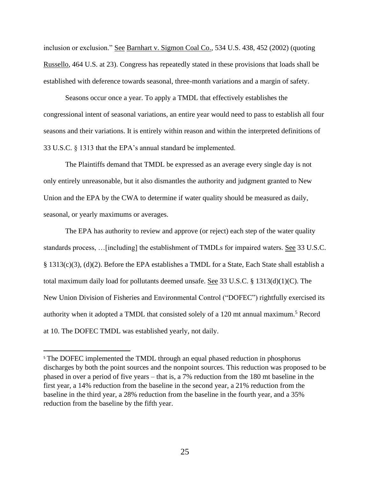inclusion or exclusion." See Barnhart v. Sigmon Coal Co.*,* 534 U.S. 438, 452 (2002) (quoting Russello*,* 464 U.S. at 23). Congress has repeatedly stated in these provisions that loads shall be established with deference towards seasonal, three-month variations and a margin of safety.

Seasons occur once a year. To apply a TMDL that effectively establishes the congressional intent of seasonal variations, an entire year would need to pass to establish all four seasons and their variations. It is entirely within reason and within the interpreted definitions of 33 U.S.C. § 1313 that the EPA's annual standard be implemented.

The Plaintiffs demand that TMDL be expressed as an average every single day is not only entirely unreasonable, but it also dismantles the authority and judgment granted to New Union and the EPA by the CWA to determine if water quality should be measured as daily, seasonal, or yearly maximums or averages.

The EPA has authority to review and approve (or reject) each step of the water quality standards process, …[including] the establishment of TMDLs for impaired waters. See 33 U.S.C. § 1313(c)(3), (d)(2). Before the EPA establishes a TMDL for a State, Each State shall establish a total maximum daily load for pollutants deemed unsafe. See 33 U.S.C. § 1313(d)(1)(C). The New Union Division of Fisheries and Environmental Control ("DOFEC") rightfully exercised its authority when it adopted a TMDL that consisted solely of a 120 mt annual maximum.<sup>5</sup> Record at 10. The DOFEC TMDL was established yearly, not daily.

<sup>&</sup>lt;sup>5</sup> The DOFEC implemented the TMDL through an equal phased reduction in phosphorus discharges by both the point sources and the nonpoint sources. This reduction was proposed to be phased in over a period of five years – that is, a 7% reduction from the 180 mt baseline in the first year, a 14% reduction from the baseline in the second year, a 21% reduction from the baseline in the third year, a 28% reduction from the baseline in the fourth year, and a 35% reduction from the baseline by the fifth year.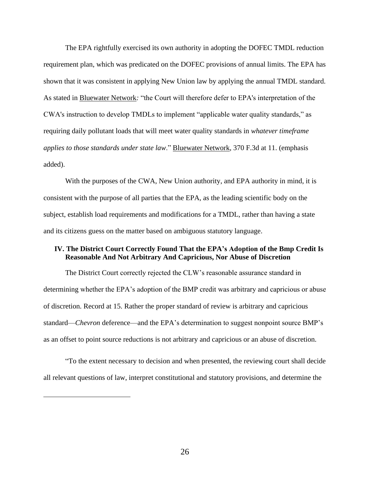The EPA rightfully exercised its own authority in adopting the DOFEC TMDL reduction requirement plan, which was predicated on the DOFEC provisions of annual limits. The EPA has shown that it was consistent in applying New Union law by applying the annual TMDL standard. As stated in Bluewater Network*:* "the Court will therefore defer to EPA's interpretation of the CWA's instruction to develop TMDLs to implement "applicable water quality standards," as requiring daily pollutant loads that will meet water quality standards in *whatever timeframe applies to those standards under state law*." Bluewater Network, 370 F.3d at 11. (emphasis added).

With the purposes of the CWA, New Union authority, and EPA authority in mind, it is consistent with the purpose of all parties that the EPA, as the leading scientific body on the subject, establish load requirements and modifications for a TMDL, rather than having a state and its citizens guess on the matter based on ambiguous statutory language.

## **IV. The District Court Correctly Found That the EPA's Adoption of the Bmp Credit Is Reasonable And Not Arbitrary And Capricious, Nor Abuse of Discretion**

The District Court correctly rejected the CLW's reasonable assurance standard in determining whether the EPA's adoption of the BMP credit was arbitrary and capricious or abuse of discretion. Record at 15. Rather the proper standard of review is arbitrary and capricious standard—*Chevron* deference—and the EPA's determination to suggest nonpoint source BMP's as an offset to point source reductions is not arbitrary and capricious or an abuse of discretion.

"To the extent necessary to decision and when presented, the reviewing court shall decide all relevant questions of law, interpret constitutional and statutory provisions, and determine the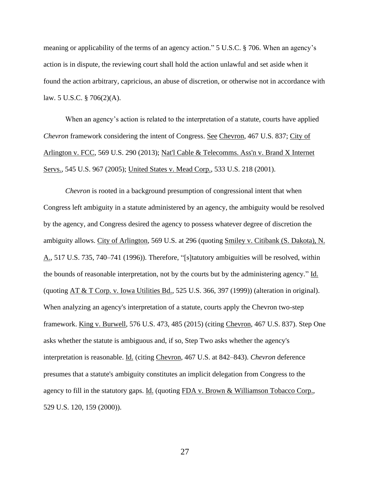meaning or applicability of the terms of an agency action." 5 U.S.C. § 706. When an agency's action is in dispute, the reviewing court shall hold the action unlawful and set aside when it found the action arbitrary, capricious, an abuse of discretion, or otherwise not in accordance with law. 5 U.S.C. § 706(2)(A).

When an agency's action is related to the interpretation of a statute, courts have applied *Chevron* framework considering the intent of Congress. See Chevron, 467 U.S. 837; City of Arlington v. FCC, 569 U.S. 290 (2013); Nat'l Cable & Telecomms. Ass'n v. Brand X Internet Servs., 545 U.S. 967 (2005); United States v. Mead Corp., 533 U.S. 218 (2001).

*Chevron* is rooted in a background presumption of congressional intent that when Congress left ambiguity in a statute administered by an agency, the ambiguity would be resolved by the agency, and Congress desired the agency to possess whatever degree of discretion the ambiguity allows. City of Arlington, 569 U.S. at 296 (quoting Smiley v. Citibank (S. Dakota), N. A., 517 U.S. 735, 740–741 (1996)). Therefore, "[s]tatutory ambiguities will be resolved, within the bounds of reasonable interpretation, not by the courts but by the administering agency." Id. (quoting AT & T Corp. v. Iowa Utilities Bd., 525 U.S. 366, 397 (1999)) (alteration in original). When analyzing an agency's interpretation of a statute, courts apply the Chevron two-step framework. King v. Burwell, 576 U.S. 473, 485 (2015) (citing Chevron, 467 U.S. 837). Step One asks whether the statute is ambiguous and, if so, Step Two asks whether the agency's interpretation is reasonable. Id. (citing Chevron, 467 U.S. at 842–843). *Chevron* deference presumes that a statute's ambiguity constitutes an implicit delegation from Congress to the agency to fill in the statutory gaps. Id. (quoting FDA v. Brown & Williamson Tobacco Corp., 529 U.S. 120, 159 (2000)).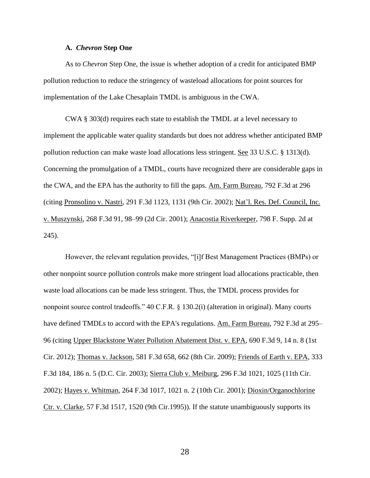#### **A.** *Chevron* **Step One**

As to *Chevron* Step One, the issue is whether adoption of a credit for anticipated BMP pollution reduction to reduce the stringency of wasteload allocations for point sources for implementation of the Lake Chesaplain TMDL is ambiguous in the CWA.

CWA § 303(d) requires each state to establish the TMDL at a level necessary to implement the applicable water quality standards but does not address whether anticipated BMP pollution reduction can make waste load allocations less stringent. See 33 U.S.C. § 1313(d). Concerning the promulgation of a TMDL, courts have recognized there are considerable gaps in the CWA, and the EPA has the authority to fill the gaps. Am. Farm Bureau, 792 F.3d at 296 (citing Pronsolino v. Nastri, 291 F.3d 1123, 1131 (9th Cir. 2002); Nat'l. Res. Def. Council, Inc. v. Muszynski, 268 F.3d 91, 98–99 (2d Cir. 2001); Anacostia Riverkeeper, 798 F. Supp. 2d at 245).

However, the relevant regulation provides, "[i]f Best Management Practices (BMPs) or other nonpoint source pollution controls make more stringent load allocations practicable, then waste load allocations can be made less stringent. Thus, the TMDL process provides for nonpoint source control tradeoffs." 40 C.F.R. § 130.2(i) (alteration in original). Many courts have defined TMDLs to accord with the EPA's regulations. Am. Farm Bureau, 792 F.3d at 295– 96 (citing Upper Blackstone Water Pollution Abatement Dist. v. EPA, 690 F.3d 9, 14 n. 8 (1st Cir. 2012); Thomas v. Jackson, 581 F.3d 658, 662 (8th Cir. 2009); Friends of Earth v. EPA, 333 F.3d 184, 186 n. 5 (D.C. Cir. 2003); Sierra Club v. Meiburg, 296 F.3d 1021, 1025 (11th Cir. 2002); Hayes v. Whitman, 264 F.3d 1017, 1021 n. 2 (10th Cir. 2001); Dioxin/Organochlorine Ctr. v. Clarke, 57 F.3d 1517, 1520 (9th Cir.1995)). If the statute unambiguously supports its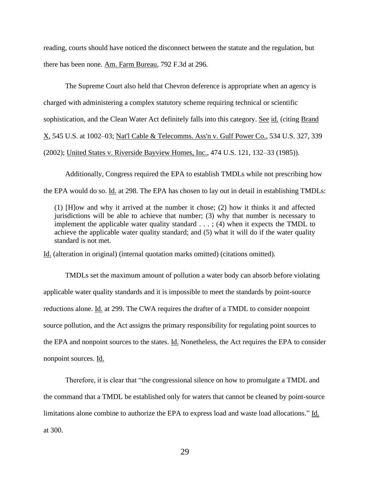reading, courts should have noticed the disconnect between the statute and the regulation, but there has been none. Am. Farm Bureau, 792 F.3d at 296.

The Supreme Court also held that Chevron deference is appropriate when an agency is charged with administering a complex statutory scheme requiring technical or scientific sophistication, and the Clean Water Act definitely falls into this category. See id. (citing Brand X, 545 U.S. at 1002–03; Nat'l Cable & Telecomms. Ass'n v. Gulf Power Co., 534 U.S. 327, 339 (2002); United States v. Riverside Bayview Homes, Inc., 474 U.S. 121, 132–33 (1985)).

Additionally, Congress required the EPA to establish TMDLs while not prescribing how the EPA would do so. Id. at 298. The EPA has chosen to lay out in detail in establishing TMDLs:

(1) [H]ow and why it arrived at the number it chose; (2) how it thinks it and affected jurisdictions will be able to achieve that number; (3) why that number is necessary to implement the applicable water quality standard  $\dots$ ; (4) when it expects the TMDL to achieve the applicable water quality standard; and (5) what it will do if the water quality standard is not met.

Id. (alteration in original) (internal quotation marks omitted) (citations omitted).

TMDLs set the maximum amount of pollution a water body can absorb before violating applicable water quality standards and it is impossible to meet the standards by point-source reductions alone. Id. at 299. The CWA requires the drafter of a TMDL to consider nonpoint source pollution, and the Act assigns the primary responsibility for regulating point sources to the EPA and nonpoint sources to the states. Id. Nonetheless, the Act requires the EPA to consider nonpoint sources. Id.

Therefore, it is clear that "the congressional silence on how to promulgate a TMDL and the command that a TMDL be established only for waters that cannot be cleaned by point-source limitations alone combine to authorize the EPA to express load and waste load allocations." Id. at 300.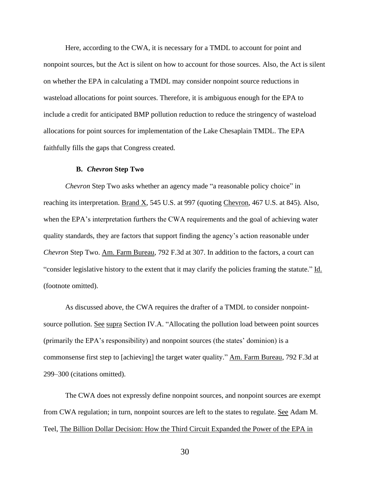Here, according to the CWA, it is necessary for a TMDL to account for point and nonpoint sources, but the Act is silent on how to account for those sources. Also, the Act is silent on whether the EPA in calculating a TMDL may consider nonpoint source reductions in wasteload allocations for point sources. Therefore, it is ambiguous enough for the EPA to include a credit for anticipated BMP pollution reduction to reduce the stringency of wasteload allocations for point sources for implementation of the Lake Chesaplain TMDL. The EPA faithfully fills the gaps that Congress created.

#### **B.** *Chevron* **Step Two**

*Chevron* Step Two asks whether an agency made "a reasonable policy choice" in reaching its interpretation. Brand X, 545 U.S. at 997 (quoting Chevron, 467 U.S. at 845). Also, when the EPA's interpretation furthers the CWA requirements and the goal of achieving water quality standards, they are factors that support finding the agency's action reasonable under *Chevron* Step Two. Am. Farm Bureau, 792 F.3d at 307. In addition to the factors, a court can "consider legislative history to the extent that it may clarify the policies framing the statute." Id. (footnote omitted).

As discussed above, the CWA requires the drafter of a TMDL to consider nonpointsource pollution. See supra Section IV.A. "Allocating the pollution load between point sources (primarily the EPA's responsibility) and nonpoint sources (the states' dominion) is a commonsense first step to [achieving] the target water quality." Am. Farm Bureau, 792 F.3d at 299–300 (citations omitted).

The CWA does not expressly define nonpoint sources, and nonpoint sources are exempt from CWA regulation; in turn, nonpoint sources are left to the states to regulate. See Adam M. Teel, The Billion Dollar Decision: How the Third Circuit Expanded the Power of the EPA in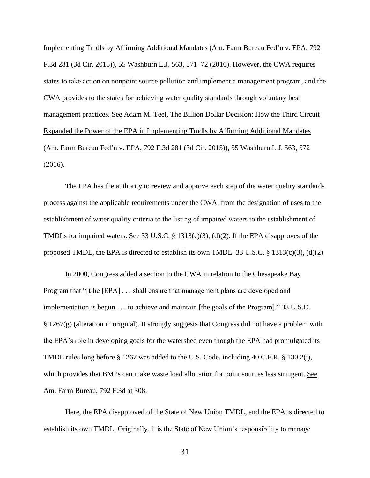Implementing Tmdls by Affirming Additional Mandates (Am. Farm Bureau Fed'n v. EPA, 792 F.3d 281 (3d Cir. 2015)), 55 Washburn L.J. 563, 571–72 (2016). However, the CWA requires states to take action on nonpoint source pollution and implement a management program, and the CWA provides to the states for achieving water quality standards through voluntary best management practices. See Adam M. Teel, The Billion Dollar Decision: How the Third Circuit Expanded the Power of the EPA in Implementing Tmdls by Affirming Additional Mandates (Am. Farm Bureau Fed'n v. EPA, 792 F.3d 281 (3d Cir. 2015)), 55 Washburn L.J. 563, 572 (2016).

The EPA has the authority to review and approve each step of the water quality standards process against the applicable requirements under the CWA, from the designation of uses to the establishment of water quality criteria to the listing of impaired waters to the establishment of TMDLs for impaired waters. See 33 U.S.C. § 1313(c)(3), (d)(2). If the EPA disapproves of the proposed TMDL, the EPA is directed to establish its own TMDL. 33 U.S.C. § 1313(c)(3), (d)(2)

In 2000, Congress added a section to the CWA in relation to the Chesapeake Bay Program that "[t]he [EPA] . . . shall ensure that management plans are developed and implementation is begun . . . to achieve and maintain [the goals of the Program]." 33 U.S.C. § 1267(g) (alteration in original). It strongly suggests that Congress did not have a problem with the EPA's role in developing goals for the watershed even though the EPA had promulgated its TMDL rules long before § 1267 was added to the U.S. Code, including 40 C.F.R. § 130.2(i), which provides that BMPs can make waste load allocation for point sources less stringent. See Am. Farm Bureau, 792 F.3d at 308.

Here, the EPA disapproved of the State of New Union TMDL, and the EPA is directed to establish its own TMDL. Originally, it is the State of New Union's responsibility to manage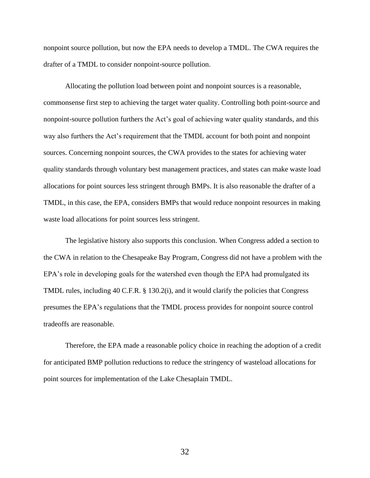nonpoint source pollution, but now the EPA needs to develop a TMDL. The CWA requires the drafter of a TMDL to consider nonpoint-source pollution.

Allocating the pollution load between point and nonpoint sources is a reasonable, commonsense first step to achieving the target water quality. Controlling both point-source and nonpoint-source pollution furthers the Act's goal of achieving water quality standards, and this way also furthers the Act's requirement that the TMDL account for both point and nonpoint sources. Concerning nonpoint sources, the CWA provides to the states for achieving water quality standards through voluntary best management practices, and states can make waste load allocations for point sources less stringent through BMPs. It is also reasonable the drafter of a TMDL, in this case, the EPA, considers BMPs that would reduce nonpoint resources in making waste load allocations for point sources less stringent.

The legislative history also supports this conclusion. When Congress added a section to the CWA in relation to the Chesapeake Bay Program, Congress did not have a problem with the EPA's role in developing goals for the watershed even though the EPA had promulgated its TMDL rules, including 40 C.F.R. § 130.2(i), and it would clarify the policies that Congress presumes the EPA's regulations that the TMDL process provides for nonpoint source control tradeoffs are reasonable.

Therefore, the EPA made a reasonable policy choice in reaching the adoption of a credit for anticipated BMP pollution reductions to reduce the stringency of wasteload allocations for point sources for implementation of the Lake Chesaplain TMDL.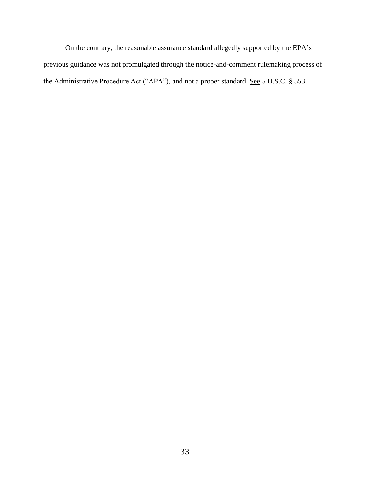On the contrary, the reasonable assurance standard allegedly supported by the EPA's previous guidance was not promulgated through the notice-and-comment rulemaking process of the Administrative Procedure Act ("APA"), and not a proper standard. See 5 U.S.C. § 553.